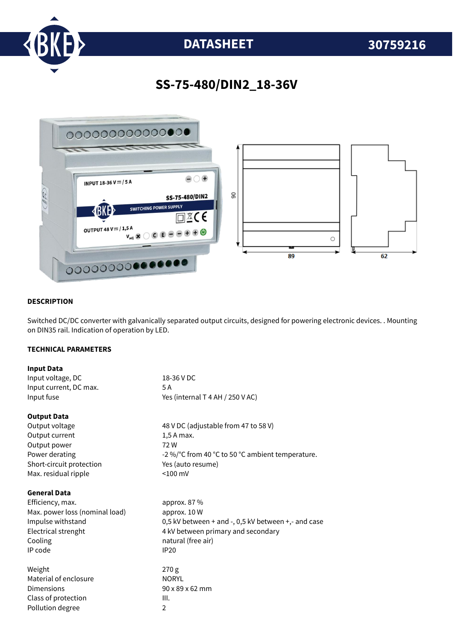

# **DATASHEET 30759216**

### **SS-75-480/DIN2\_18-36V**



#### **DESCRIPTION**

Switched DC/DC converter with galvanically separated output circuits, designed for powering electronic devices. . Mounting on DIN35 rail. Indication of operation by LED.

#### **TECHNICAL PARAMETERS**

| <b>Input Data</b>              |                                                     |
|--------------------------------|-----------------------------------------------------|
| Input voltage, DC              | 18-36 V DC                                          |
| Input current, DC max.         | 5 A                                                 |
| Input fuse                     | Yes (internal T 4 AH / 250 V AC)                    |
| <b>Output Data</b>             |                                                     |
| Output voltage                 | 48 V DC (adjustable from 47 to 58 V)                |
| Output current                 | 1,5 A max.                                          |
| Output power                   | 72W                                                 |
| Power derating                 | -2 %/°C from 40 °C to 50 °C ambient temperature.    |
| Short-circuit protection       | Yes (auto resume)                                   |
| Max. residual ripple           | $< 100$ mV                                          |
| <b>General Data</b>            |                                                     |
| Efficiency, max.               | approx. 87 %                                        |
| Max. power loss (nominal load) | approx. 10 W                                        |
| Impulse withstand              | 0,5 kV between + and -, 0,5 kV between +,- and case |
| Electrical strenght            | 4 kV between primary and secondary                  |
| Cooling                        | natural (free air)                                  |
| IP code                        | <b>IP20</b>                                         |
| Weight                         | 270g                                                |
| Material of enclosure          | <b>NORYL</b>                                        |
| Dimensions                     | $90 \times 89 \times 62$ mm                         |
| Class of protection            | III.                                                |
| Pollution degree               | $\overline{2}$                                      |
|                                |                                                     |